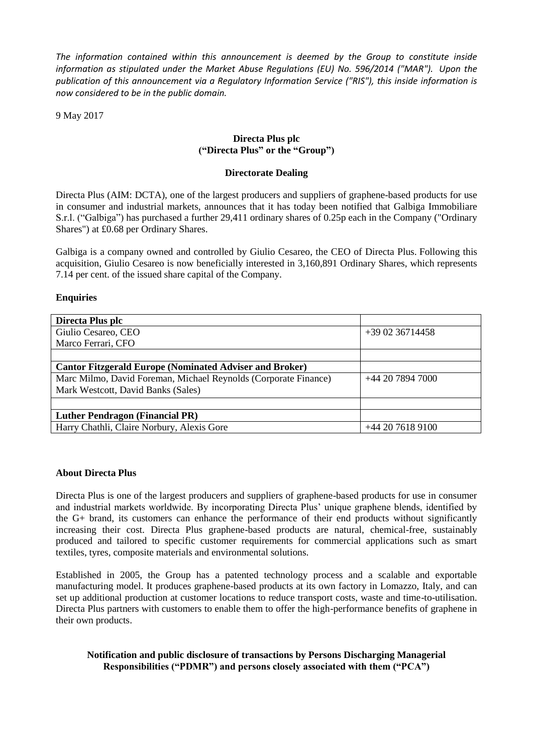*The information contained within this announcement is deemed by the Group to constitute inside information as stipulated under the Market Abuse Regulations (EU) No. 596/2014 ("MAR"). Upon the publication of this announcement via a Regulatory Information Service ("RIS"), this inside information is now considered to be in the public domain.*

9 May 2017

# **Directa Plus plc ("Directa Plus" or the "Group")**

### **Directorate Dealing**

Directa Plus (AIM: DCTA), one of the largest producers and suppliers of graphene-based products for use in consumer and industrial markets, announces that it has today been notified that Galbiga Immobiliare S.r.l. ("Galbiga") has purchased a further 29,411 ordinary shares of 0.25p each in the Company ("Ordinary Shares") at £0.68 per Ordinary Shares.

Galbiga is a company owned and controlled by Giulio Cesareo, the CEO of Directa Plus. Following this acquisition, Giulio Cesareo is now beneficially interested in 3,160,891 Ordinary Shares, which represents 7.14 per cent. of the issued share capital of the Company.

## **Enquiries**

| Directa Plus plc                                                |                 |
|-----------------------------------------------------------------|-----------------|
| Giulio Cesareo, CEO                                             | $+390236714458$ |
| Marco Ferrari, CFO                                              |                 |
|                                                                 |                 |
| <b>Cantor Fitzgerald Europe (Nominated Adviser and Broker)</b>  |                 |
| Marc Milmo, David Foreman, Michael Reynolds (Corporate Finance) | $+442078947000$ |
| Mark Westcott, David Banks (Sales)                              |                 |
|                                                                 |                 |
| <b>Luther Pendragon (Financial PR)</b>                          |                 |
| Harry Chathli, Claire Norbury, Alexis Gore                      | $+442076189100$ |

### **About Directa Plus**

Directa Plus is one of the largest producers and suppliers of graphene-based products for use in consumer and industrial markets worldwide. By incorporating Directa Plus' unique graphene blends, identified by the G+ brand, its customers can enhance the performance of their end products without significantly increasing their cost. Directa Plus graphene-based products are natural, chemical-free, sustainably produced and tailored to specific customer requirements for commercial applications such as smart textiles, tyres, composite materials and environmental solutions.

Established in 2005, the Group has a patented technology process and a scalable and exportable manufacturing model. It produces graphene-based products at its own factory in Lomazzo, Italy, and can set up additional production at customer locations to reduce transport costs, waste and time-to-utilisation. Directa Plus partners with customers to enable them to offer the high-performance benefits of graphene in their own products.

### **Notification and public disclosure of transactions by Persons Discharging Managerial Responsibilities ("PDMR") and persons closely associated with them ("PCA")**